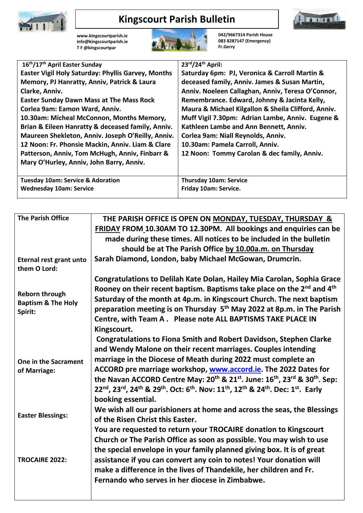

## **Kingscourt Parish Bulletin**



**[www.kingscourtparish.ie](http://www.kingscourtparish.ie/) info@kingscourtparish.ie T F @kingscourtpar** 



**042/9667314 Parish House 083 8287147 (Emergency) Fr.Gerry**

| 16th/17th April Easter Sunday                             | $23rd/24th$ April:                                  |
|-----------------------------------------------------------|-----------------------------------------------------|
| <b>Easter Vigil Holy Saturday: Phyllis Garvey, Months</b> | Saturday 6pm: PJ, Veronica & Carroll Martin &       |
| Memory, PJ Hanratty, Anniv, Patrick & Laura               | deceased family, Anniv. James & Susan Martin,       |
| Clarke, Anniv.                                            | Anniv. Noeleen Callaghan, Anniv, Teresa O'Connor,   |
| <b>Easter Sunday Dawn Mass at The Mass Rock</b>           | Remembrance. Edward, Johnny & Jacinta Kelly,        |
| Corlea 9am: Eamon Ward, Anniv.                            | Maura & Michael Kilgallon & Sheila Clifford, Anniv. |
| 10.30am: Micheal McConnon, Months Memory,                 | Muff Vigil 7.30pm: Adrian Lambe, Anniv. Eugene &    |
| Brian & Eileen Hanratty & deceased family, Anniv.         | Kathleen Lambe and Ann Bennett, Anniv.              |
| Maureen Shekleton, Anniv. Joseph O'Reilly, Anniv.         | Corlea 9am: Niall Reynolds, Anniv.                  |
| 12 Noon: Fr. Phonsie Mackin, Anniv. Liam & Clare          | 10.30am: Pamela Carroll, Anniv.                     |
| Patterson, Anniv, Tom McHugh, Anniv, Finbarr &            | 12 Noon: Tommy Carolan & dec family, Anniv.         |
| Mary O'Hurley, Anniv, John Barry, Anniv.                  |                                                     |
|                                                           |                                                     |
| <b>Tuesday 10am: Service &amp; Adoration</b>              | <b>Thursday 10am: Service</b>                       |
| <b>Wednesday 10am: Service</b>                            | Friday 10am: Service.                               |
|                                                           |                                                     |

| <b>The Parish Office</b>                                   | THE PARISH OFFICE IS OPEN ON MONDAY, TUESDAY, THURSDAY &                                                                                                                                                                                                                                                                                                                                                                                        |
|------------------------------------------------------------|-------------------------------------------------------------------------------------------------------------------------------------------------------------------------------------------------------------------------------------------------------------------------------------------------------------------------------------------------------------------------------------------------------------------------------------------------|
|                                                            | FRIDAY FROM 10.30AM TO 12.30PM. All bookings and enquiries can be                                                                                                                                                                                                                                                                                                                                                                               |
|                                                            | made during these times. All notices to be included in the bulletin                                                                                                                                                                                                                                                                                                                                                                             |
|                                                            | should be at The Parish Office by 10.00a.m. on Thursday                                                                                                                                                                                                                                                                                                                                                                                         |
| Eternal rest grant unto<br>them O Lord:                    | Sarah Diamond, London, baby Michael McGowan, Drumcrin.                                                                                                                                                                                                                                                                                                                                                                                          |
|                                                            | Congratulations to Delilah Kate Dolan, Hailey Mia Carolan, Sophia Grace                                                                                                                                                                                                                                                                                                                                                                         |
| Reborn through<br><b>Baptism &amp; The Holy</b><br>Spirit: | Rooney on their recent baptism. Baptisms take place on the 2 <sup>nd</sup> and 4 <sup>th</sup><br>Saturday of the month at 4p.m. in Kingscourt Church. The next baptism<br>preparation meeting is on Thursday 5 <sup>th</sup> May 2022 at 8p.m. in The Parish<br>Centre, with Team A. Please note ALL BAPTISMS TAKE PLACE IN<br>Kingscourt.                                                                                                     |
|                                                            | <b>Congratulations to Fiona Smith and Robert Davidson, Stephen Clarke</b>                                                                                                                                                                                                                                                                                                                                                                       |
| One in the Sacrament<br>of Marriage:                       | and Wendy Malone on their recent marriages. Couples intending<br>marriage in the Diocese of Meath during 2022 must complete an<br>ACCORD pre marriage workshop, www.accord.ie. The 2022 Dates for<br>the Navan ACCORD Centre May: 20 <sup>th</sup> & 21 <sup>st</sup> . June: 16 <sup>th</sup> , 23 <sup>rd</sup> & 30 <sup>th</sup> . Sep:<br>22nd, 23rd, 24th & 29th. Oct: 6th. Nov: 11th, 12th & 24th. Dec: 1st. Early<br>booking essential. |
| <b>Easter Blessings:</b>                                   | We wish all our parishioners at home and across the seas, the Blessings<br>of the Risen Christ this Easter.                                                                                                                                                                                                                                                                                                                                     |
| TROCAIRE 2022:                                             | You are requested to return your TROCAIRE donation to Kingscourt<br>Church or The Parish Office as soon as possible. You may wish to use<br>the special envelope in your family planned giving box. It is of great<br>assistance if you can convert any coin to notes! Your donation will<br>make a difference in the lives of Thandekile, her children and Fr.<br>Fernando who serves in her diocese in Zimbabwe.                              |